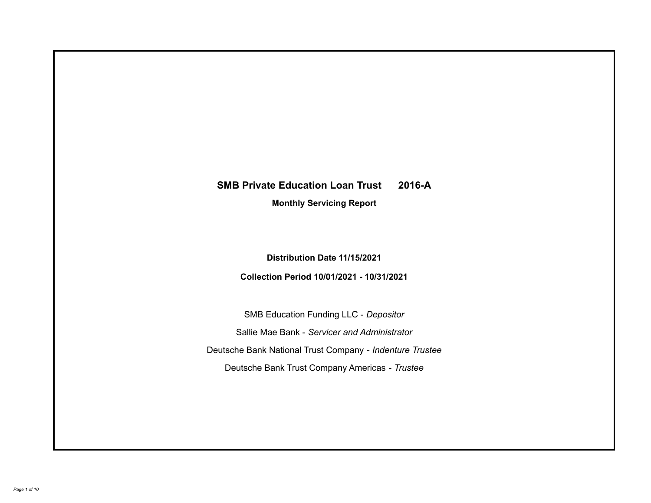# **SMB Private Education Loan Trust 2016-A**

**Monthly Servicing Report**

**Distribution Date 11/15/2021**

**Collection Period 10/01/2021 - 10/31/2021**

SMB Education Funding LLC - *Depositor* Sallie Mae Bank - *Servicer and Administrator* Deutsche Bank National Trust Company - *Indenture Trustee* Deutsche Bank Trust Company Americas - *Trustee*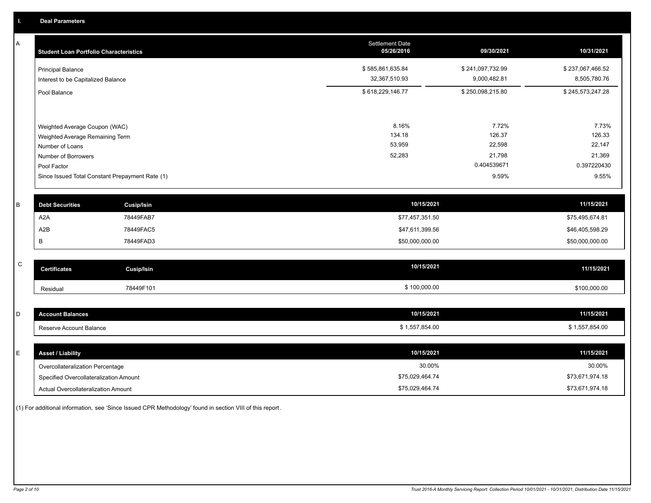A

| Α           | <b>Student Loan Portfolio Characteristics</b>   |                   | <b>Settlement Date</b><br>05/26/2016 | 09/30/2021       | 10/31/2021       |
|-------------|-------------------------------------------------|-------------------|--------------------------------------|------------------|------------------|
|             | <b>Principal Balance</b>                        |                   | \$585,861,635.84                     | \$241,097,732.99 | \$237,067,466.52 |
|             | Interest to be Capitalized Balance              |                   | 32,367,510.93                        | 9,000,482.81     | 8,505,780.76     |
|             | Pool Balance                                    |                   | \$618,229,146.77                     | \$250,098,215.80 | \$245,573,247.28 |
|             |                                                 |                   |                                      |                  |                  |
|             | Weighted Average Coupon (WAC)                   |                   | 8.16%<br>134.18                      | 7.72%<br>126.37  | 7.73%<br>126.33  |
|             | Weighted Average Remaining Term                 |                   | 53,959                               | 22,598           | 22,147           |
|             | Number of Loans<br>Number of Borrowers          |                   | 52,283                               | 21,798           | 21,369           |
|             | Pool Factor                                     |                   |                                      | 0.404539671      | 0.397220430      |
|             | Since Issued Total Constant Prepayment Rate (1) |                   |                                      | 9.59%            | 9.55%            |
| В           | <b>Debt Securities</b>                          | <b>Cusip/Isin</b> | 10/15/2021                           |                  | 11/15/2021       |
|             | A <sub>2</sub> A                                | 78449FAB7         | \$77,457,351.50                      |                  | \$75,495,674.81  |
|             | A <sub>2</sub> B                                | 78449FAC5         | \$47,611,399.56                      |                  | \$46,405,598.29  |
|             | В                                               | 78449FAD3         | \$50,000,000.00                      |                  | \$50,000,000.00  |
|             |                                                 |                   |                                      |                  |                  |
| $\mathsf C$ | <b>Certificates</b>                             | <b>Cusip/Isin</b> | 10/15/2021                           |                  | 11/15/2021       |
|             | Residual                                        | 78449F101         | \$100,000.00                         |                  | \$100,000.00     |
|             |                                                 |                   |                                      |                  |                  |
| D           | <b>Account Balances</b>                         |                   | 10/15/2021                           |                  | 11/15/2021       |
|             | Reserve Account Balance                         |                   | \$1,557,854.00                       |                  | \$1,557,854.00   |
|             |                                                 |                   |                                      |                  |                  |
|             |                                                 |                   | $1011 - 10001$                       |                  | $1111 - 10001$   |

| E. | <b>Asset / Liability</b>               | 10/15/2021      | 11/15/2021      |
|----|----------------------------------------|-----------------|-----------------|
|    | Overcollateralization Percentage       | 30.00%          | 30.00%          |
|    | Specified Overcollateralization Amount | \$75.029.464.74 | \$73,671,974.18 |
|    | Actual Overcollateralization Amount    | \$75,029,464.74 | \$73,671,974.18 |

(1) For additional information, see 'Since Issued CPR Methodology' found in section VIII of this report .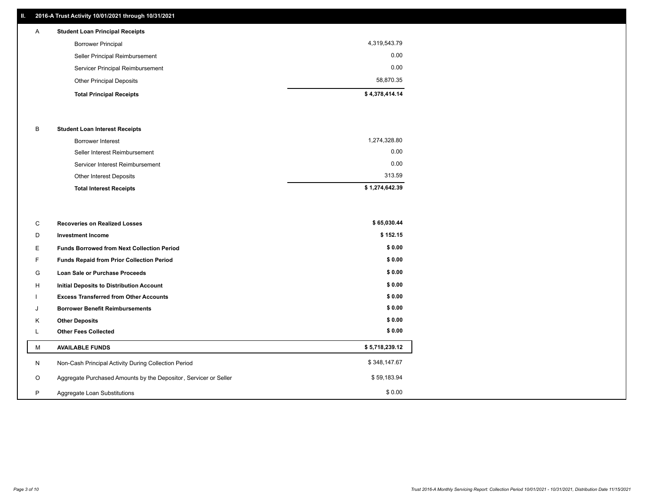# **II. 2016-A Trust Activity 10/01/2021 through 10/31/2021**

# **Total Principal Receipts \$ 4,378,414.14**  Other Principal Deposits 58,870.35 Servicer Principal Reimbursement 0.00 Seller Principal Reimbursement 0.00 Borrower Principal 4,319,543.79 A **Student Loan Principal Receipts**

## B **Student Loan Interest Receipts**

| <b>Total Interest Receipts</b>  | \$1,274,642.39 |
|---------------------------------|----------------|
| Other Interest Deposits         | 313.59         |
| Servicer Interest Reimbursement | 0.00           |
| Seller Interest Reimbursement   | 0.00           |
| Borrower Interest               | 1,274,328.80   |

| C       | <b>Recoveries on Realized Losses</b>                             | \$65,030.44    |
|---------|------------------------------------------------------------------|----------------|
| D       | <b>Investment Income</b>                                         | \$152.15       |
| Е       | <b>Funds Borrowed from Next Collection Period</b>                | \$0.00         |
| F       | Funds Repaid from Prior Collection Period                        | \$0.00         |
| G       | Loan Sale or Purchase Proceeds                                   | \$0.00         |
| Н       | <b>Initial Deposits to Distribution Account</b>                  | \$0.00         |
|         | <b>Excess Transferred from Other Accounts</b>                    | \$0.00         |
| J       | <b>Borrower Benefit Reimbursements</b>                           | \$0.00         |
| K       | <b>Other Deposits</b>                                            | \$0.00         |
| L       | <b>Other Fees Collected</b>                                      | \$0.00         |
| м       | <b>AVAILABLE FUNDS</b>                                           | \$5,718,239.12 |
| N       | Non-Cash Principal Activity During Collection Period             | \$348,147.67   |
| $\circ$ | Aggregate Purchased Amounts by the Depositor, Servicer or Seller | \$59,183.94    |
| P       | Aggregate Loan Substitutions                                     | \$0.00         |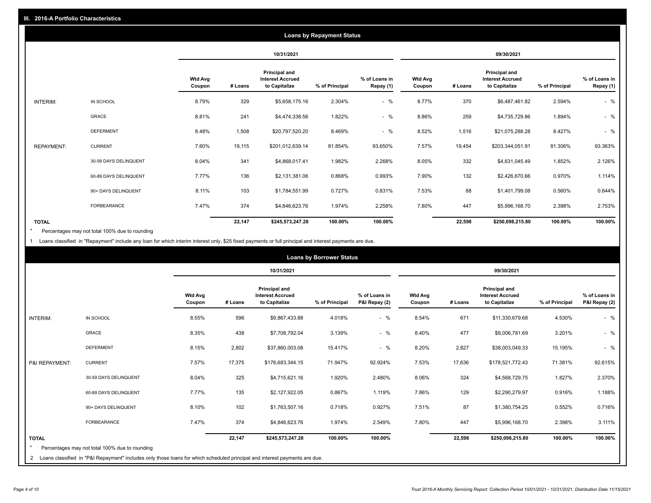|                   | <b>Loans by Repayment Status</b> |                          |            |                                                           |                |                            |                   |         |                                                           |                |                            |
|-------------------|----------------------------------|--------------------------|------------|-----------------------------------------------------------|----------------|----------------------------|-------------------|---------|-----------------------------------------------------------|----------------|----------------------------|
|                   |                                  |                          | 10/31/2021 |                                                           |                | 09/30/2021                 |                   |         |                                                           |                |                            |
|                   |                                  | <b>Wtd Avg</b><br>Coupon | # Loans    | Principal and<br><b>Interest Accrued</b><br>to Capitalize | % of Principal | % of Loans in<br>Repay (1) | Wtd Avg<br>Coupon | # Loans | Principal and<br><b>Interest Accrued</b><br>to Capitalize | % of Principal | % of Loans in<br>Repay (1) |
| INTERIM:          | IN SCHOOL                        | 8.79%                    | 329        | \$5,658,175.16                                            | 2.304%         | $-$ %                      | 8.77%             | 370     | \$6,487,461.82                                            | 2.594%         | $-$ %                      |
|                   | GRACE                            | 8.81%                    | 241        | \$4,474,338.56                                            | 1.822%         | $-$ %                      | 8.86%             | 259     | \$4,735,729.86                                            | 1.894%         | $-$ %                      |
|                   | <b>DEFERMENT</b>                 | 8.48%                    | 1,508      | \$20,797,520.20                                           | 8.469%         | $-$ %                      | 8.52%             | 1,516   | \$21,075,288.28                                           | 8.427%         | $-$ %                      |
| <b>REPAYMENT:</b> | <b>CURRENT</b>                   | 7.60%                    | 19,115     | \$201,012,639.14                                          | 81.854%        | 93.650%                    | 7.57%             | 19,454  | \$203,344,051.91                                          | 81.306%        | 93.363%                    |
|                   | 30-59 DAYS DELINQUENT            | 8.04%                    | 341        | \$4,868,017.41                                            | 1.982%         | 2.268%                     | 8.05%             | 332     | \$4,631,045.49                                            | 1.852%         | 2.126%                     |
|                   | 60-89 DAYS DELINQUENT            | 7.77%                    | 136        | \$2,131,381.06                                            | 0.868%         | 0.993%                     | 7.90%             | 132     | \$2,426,670.66                                            | 0.970%         | 1.114%                     |
|                   | 90+ DAYS DELINQUENT              | 8.11%                    | 103        | \$1,784,551.99                                            | 0.727%         | 0.831%                     | 7.53%             | 88      | \$1,401,799.08                                            | 0.560%         | 0.644%                     |
|                   | <b>FORBEARANCE</b>               | 7.47%                    | 374        | \$4,846,623.76                                            | 1.974%         | 2.258%                     | 7.80%             | 447     | \$5,996,168.70                                            | 2.398%         | 2.753%                     |
| <b>TOTAL</b>      |                                  |                          | 22,147     | \$245,573,247.28                                          | 100.00%        | 100.00%                    |                   | 22,598  | \$250,098,215.80                                          | 100.00%        | 100.00%                    |

Percentages may not total 100% due to rounding \*

1 Loans classified in "Repayment" include any loan for which interim interest only, \$25 fixed payments or full principal and interest payments are due.

|                 |                                                                                                                              | <b>Loans by Borrower Status</b> |            |                                                           |                |                                |                          |         |                                                           |                |                                |
|-----------------|------------------------------------------------------------------------------------------------------------------------------|---------------------------------|------------|-----------------------------------------------------------|----------------|--------------------------------|--------------------------|---------|-----------------------------------------------------------|----------------|--------------------------------|
|                 |                                                                                                                              |                                 | 10/31/2021 |                                                           |                | 09/30/2021                     |                          |         |                                                           |                |                                |
|                 |                                                                                                                              | <b>Wtd Avg</b><br>Coupon        | # Loans    | Principal and<br><b>Interest Accrued</b><br>to Capitalize | % of Principal | % of Loans in<br>P&I Repay (2) | <b>Wtd Avg</b><br>Coupon | # Loans | Principal and<br><b>Interest Accrued</b><br>to Capitalize | % of Principal | % of Loans in<br>P&I Repay (2) |
| <b>INTERIM:</b> | IN SCHOOL                                                                                                                    | 8.55%                           | 596        | \$9,867,433.88                                            | 4.018%         | $-$ %                          | 8.54%                    | 671     | \$11,330,679.68                                           | 4.530%         | $-$ %                          |
|                 | <b>GRACE</b>                                                                                                                 | 8.35%                           | 438        | \$7,708,792.04                                            | 3.139%         | $-$ %                          | 8.40%                    | 477     | \$8,006,781.69                                            | 3.201%         | $-$ %                          |
|                 | <b>DEFERMENT</b>                                                                                                             | 8.15%                           | 2,802      | \$37,860,003.08                                           | 15.417%        | $-$ %                          | 8.20%                    | 2,827   | \$38,003,049.33                                           | 15.195%        | $-$ %                          |
| P&I REPAYMENT:  | <b>CURRENT</b>                                                                                                               | 7.57%                           | 17,375     | \$176,683,344.15                                          | 71.947%        | 92.924%                        | 7.53%                    | 17,636  | \$178,521,772.43                                          | 71.381%        | 92.615%                        |
|                 | 30-59 DAYS DELINQUENT                                                                                                        | 8.04%                           | 325        | \$4,715,621.16                                            | 1.920%         | 2.480%                         | 8.06%                    | 324     | \$4,568,729.75                                            | 1.827%         | 2.370%                         |
|                 | 60-89 DAYS DELINQUENT                                                                                                        | 7.77%                           | 135        | \$2,127,922.05                                            | 0.867%         | 1.119%                         | 7.86%                    | 129     | \$2,290,279.97                                            | 0.916%         | 1.188%                         |
|                 | 90+ DAYS DELINQUENT                                                                                                          | 8.10%                           | 102        | \$1,763,507.16                                            | 0.718%         | 0.927%                         | 7.51%                    | 87      | \$1,380,754.25                                            | 0.552%         | 0.716%                         |
|                 | <b>FORBEARANCE</b>                                                                                                           | 7.47%                           | 374        | \$4,846,623.76                                            | 1.974%         | 2.549%                         | 7.80%                    | 447     | \$5,996,168.70                                            | 2.398%         | 3.111%                         |
| <b>TOTAL</b>    |                                                                                                                              |                                 | 22,147     | \$245,573,247.28                                          | 100.00%        | 100.00%                        |                          | 22,598  | \$250,098,215.80                                          | 100.00%        | 100.00%                        |
|                 | Percentages may not total 100% due to rounding                                                                               |                                 |            |                                                           |                |                                |                          |         |                                                           |                |                                |
|                 | 2 Loans classified in "P&I Repayment" includes only those loans for which scheduled principal and interest payments are due. |                                 |            |                                                           |                |                                |                          |         |                                                           |                |                                |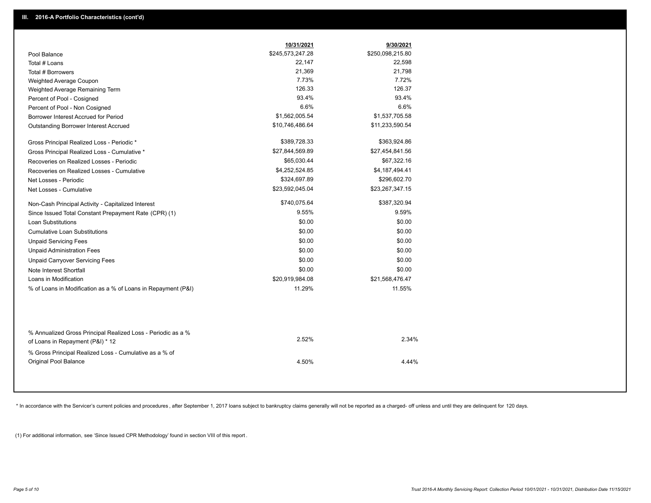|                                                                                        | 10/31/2021       | 9/30/2021        |  |
|----------------------------------------------------------------------------------------|------------------|------------------|--|
| Pool Balance                                                                           | \$245,573,247.28 | \$250,098,215.80 |  |
| Total # Loans                                                                          | 22,147           | 22,598           |  |
| Total # Borrowers                                                                      | 21,369           | 21,798           |  |
| Weighted Average Coupon                                                                | 7.73%            | 7.72%            |  |
| Weighted Average Remaining Term                                                        | 126.33           | 126.37           |  |
| Percent of Pool - Cosigned                                                             | 93.4%            | 93.4%            |  |
| Percent of Pool - Non Cosigned                                                         | 6.6%             | 6.6%             |  |
| Borrower Interest Accrued for Period                                                   | \$1,562,005.54   | \$1,537,705.58   |  |
| Outstanding Borrower Interest Accrued                                                  | \$10,746,486.64  | \$11,233,590.54  |  |
| Gross Principal Realized Loss - Periodic *                                             | \$389,728.33     | \$363,924.86     |  |
| Gross Principal Realized Loss - Cumulative *                                           | \$27,844,569.89  | \$27,454,841.56  |  |
| Recoveries on Realized Losses - Periodic                                               | \$65,030.44      | \$67,322.16      |  |
| Recoveries on Realized Losses - Cumulative                                             | \$4,252,524.85   | \$4,187,494.41   |  |
| Net Losses - Periodic                                                                  | \$324,697.89     | \$296,602.70     |  |
| Net Losses - Cumulative                                                                | \$23,592,045.04  | \$23,267,347.15  |  |
| Non-Cash Principal Activity - Capitalized Interest                                     | \$740,075.64     | \$387,320.94     |  |
| Since Issued Total Constant Prepayment Rate (CPR) (1)                                  | 9.55%            | 9.59%            |  |
| <b>Loan Substitutions</b>                                                              | \$0.00           | \$0.00           |  |
| <b>Cumulative Loan Substitutions</b>                                                   | \$0.00           | \$0.00           |  |
| <b>Unpaid Servicing Fees</b>                                                           | \$0.00           | \$0.00           |  |
| <b>Unpaid Administration Fees</b>                                                      | \$0.00           | \$0.00           |  |
| <b>Unpaid Carryover Servicing Fees</b>                                                 | \$0.00           | \$0.00           |  |
| Note Interest Shortfall                                                                | \$0.00           | \$0.00           |  |
| Loans in Modification                                                                  | \$20,919,984.08  | \$21,568,476.47  |  |
| % of Loans in Modification as a % of Loans in Repayment (P&I)                          | 11.29%           | 11.55%           |  |
| % Annualized Gross Principal Realized Loss - Periodic as a %                           |                  |                  |  |
| of Loans in Repayment (P&I) * 12                                                       | 2.52%            | 2.34%            |  |
| % Gross Principal Realized Loss - Cumulative as a % of<br><b>Original Pool Balance</b> | 4.50%            | 4.44%            |  |

\* In accordance with the Servicer's current policies and procedures, after September 1, 2017 loans subject to bankruptcy claims generally will not be reported as a charged- off unless and until they are delinquent for 120

(1) For additional information, see 'Since Issued CPR Methodology' found in section VIII of this report .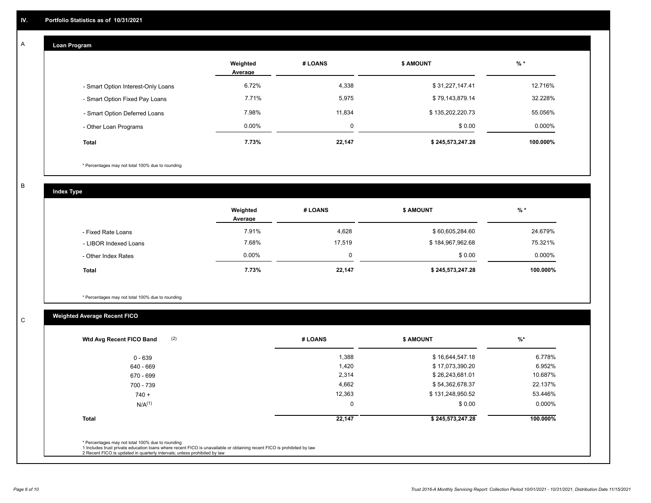#### **Loan Program**  A

|                                    | Weighted<br>Average | # LOANS  | <b>\$ AMOUNT</b> | $%$ *     |
|------------------------------------|---------------------|----------|------------------|-----------|
| - Smart Option Interest-Only Loans | 6.72%               | 4,338    | \$31,227,147.41  | 12.716%   |
| - Smart Option Fixed Pay Loans     | 7.71%               | 5,975    | \$79,143,879.14  | 32.228%   |
| - Smart Option Deferred Loans      | 7.98%               | 11.834   | \$135,202,220.73 | 55.056%   |
| - Other Loan Programs              | $0.00\%$            | $\Omega$ | \$0.00           | $0.000\%$ |
| <b>Total</b>                       | 7.73%               | 22,147   | \$245,573,247.28 | 100.000%  |

\* Percentages may not total 100% due to rounding

B

C

**Index Type**

|                       | Weighted<br>Average | # LOANS  | \$ AMOUNT        | $%$ *     |
|-----------------------|---------------------|----------|------------------|-----------|
| - Fixed Rate Loans    | 7.91%               | 4,628    | \$60,605,284.60  | 24.679%   |
| - LIBOR Indexed Loans | 7.68%               | 17.519   | \$184,967,962.68 | 75.321%   |
| - Other Index Rates   | $0.00\%$            | $\Omega$ | \$0.00           | $0.000\%$ |
| <b>Total</b>          | 7.73%               | 22,147   | \$245,573,247.28 | 100.000%  |

\* Percentages may not total 100% due to rounding

# **Weighted Average Recent FICO**

| $0 - 639$          | 1,388    | \$16,644,547.18  |          |
|--------------------|----------|------------------|----------|
|                    |          |                  | 6.778%   |
| 640 - 669          | 1,420    | \$17,073,390.20  | 6.952%   |
| 670 - 699          | 2,314    | \$26,243,681.01  | 10.687%  |
| 700 - 739          | 4,662    | \$54,362,678.37  | 22.137%  |
| $740 +$            | 12,363   | \$131,248,950.52 | 53.446%  |
| N/A <sup>(1)</sup> | $\Omega$ | \$0.00           | 0.000%   |
| <b>Total</b>       | 22,147   | \$245,573,247.28 | 100.000% |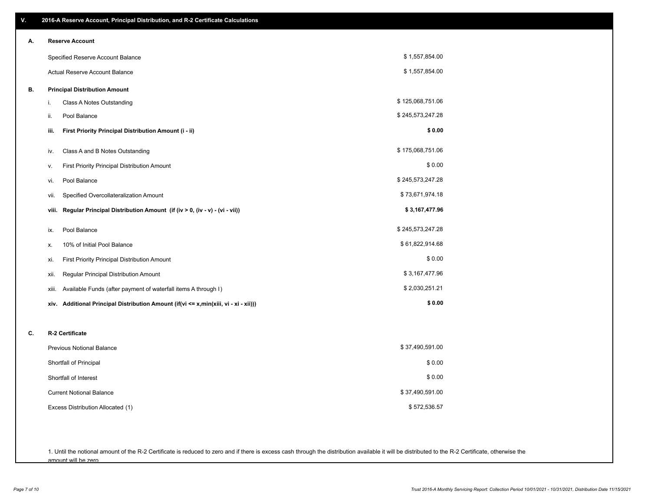| V. | 2016-A Reserve Account, Principal Distribution, and R-2 Certificate Calculations        |                  |
|----|-----------------------------------------------------------------------------------------|------------------|
| А. | <b>Reserve Account</b>                                                                  |                  |
|    | Specified Reserve Account Balance                                                       | \$1,557,854.00   |
|    | Actual Reserve Account Balance                                                          | \$1,557,854.00   |
| В. | <b>Principal Distribution Amount</b>                                                    |                  |
|    | Class A Notes Outstanding<br>i.                                                         | \$125,068,751.06 |
|    | Pool Balance<br>ii.                                                                     | \$245,573,247.28 |
|    | First Priority Principal Distribution Amount (i - ii)<br>iii.                           | \$0.00           |
|    | Class A and B Notes Outstanding<br>iv.                                                  | \$175,068,751.06 |
|    | First Priority Principal Distribution Amount<br>ν.                                      | \$0.00           |
|    | Pool Balance<br>vi.                                                                     | \$245,573,247.28 |
|    | Specified Overcollateralization Amount<br>vii.                                          | \$73,671,974.18  |
|    | Regular Principal Distribution Amount (if (iv > 0, (iv - v) - (vi - vii))<br>viii.      | \$3,167,477.96   |
|    | Pool Balance<br>ix.                                                                     | \$245,573,247.28 |
|    | 10% of Initial Pool Balance<br>х.                                                       | \$61,822,914.68  |
|    | First Priority Principal Distribution Amount<br>xi.                                     | \$0.00           |
|    | Regular Principal Distribution Amount<br>xii.                                           | \$3,167,477.96   |
|    | Available Funds (after payment of waterfall items A through I)<br>xiii.                 | \$2,030,251.21   |
|    | Additional Principal Distribution Amount (if(vi <= x,min(xiii, vi - xi - xii)))<br>xiv. | \$0.00           |
| C. | R-2 Certificate                                                                         |                  |
|    | <b>Previous Notional Balance</b>                                                        | \$37,490,591.00  |
|    | Shortfall of Principal                                                                  | \$0.00           |
|    | Shortfall of Interest                                                                   | \$0.00           |
|    | <b>Current Notional Balance</b>                                                         | \$37,490,591.00  |
|    | Excess Distribution Allocated (1)                                                       | \$572,536.57     |
|    |                                                                                         |                  |
|    |                                                                                         |                  |

1. Until the notional amount of the R-2 Certificate is reduced to zero and if there is excess cash through the distribution available it will be distributed to the R-2 Certificate, otherwise the amount will be zero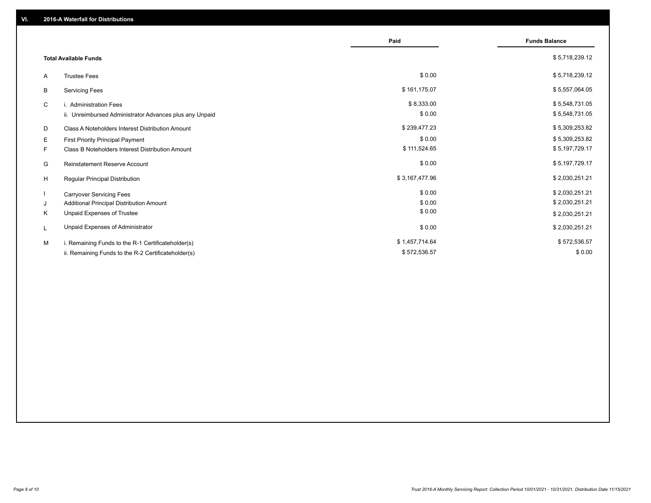|                                                         | Paid           | <b>Funds Balance</b> |
|---------------------------------------------------------|----------------|----------------------|
| <b>Total Available Funds</b>                            |                | \$5,718,239.12       |
| <b>Trustee Fees</b><br>A                                | \$0.00         | \$5,718,239.12       |
| <b>Servicing Fees</b><br>B                              | \$161,175.07   | \$5,557,064.05       |
| C<br>i. Administration Fees                             | \$8,333.00     | \$5,548,731.05       |
| ii. Unreimbursed Administrator Advances plus any Unpaid | \$0.00         | \$5,548,731.05       |
| D<br>Class A Noteholders Interest Distribution Amount   | \$239,477.23   | \$5,309,253.82       |
| Е<br>First Priority Principal Payment                   | \$0.00         | \$5,309,253.82       |
| F.<br>Class B Noteholders Interest Distribution Amount  | \$111,524.65   | \$5,197,729.17       |
| G<br><b>Reinstatement Reserve Account</b>               | \$0.00         | \$5,197,729.17       |
| H<br>Regular Principal Distribution                     | \$3,167,477.96 | \$2,030,251.21       |
| <b>Carryover Servicing Fees</b>                         | \$0.00         | \$2,030,251.21       |
| Additional Principal Distribution Amount<br>J           | \$0.00         | \$2,030,251.21       |
| Κ<br>Unpaid Expenses of Trustee                         | \$0.00         | \$2,030,251.21       |
| Unpaid Expenses of Administrator<br>L                   | \$0.00         | \$2,030,251.21       |
| M<br>i. Remaining Funds to the R-1 Certificateholder(s) | \$1,457,714.64 | \$572,536.57         |
| ii. Remaining Funds to the R-2 Certificateholder(s)     | \$572,536.57   | \$0.00               |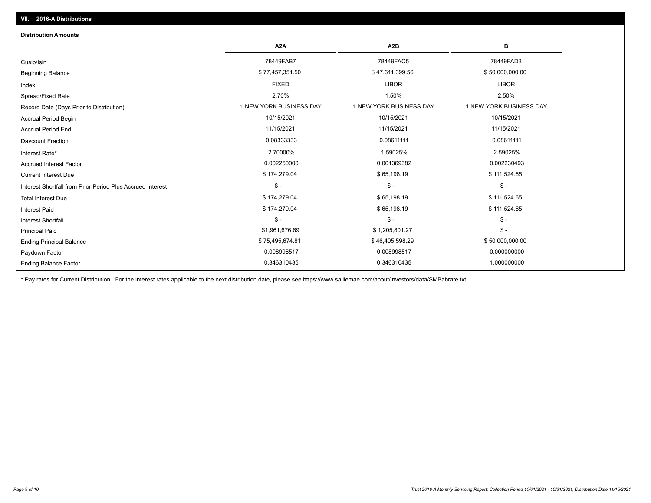| <b>Distribution Amounts</b>                                |                         |                         |                         |
|------------------------------------------------------------|-------------------------|-------------------------|-------------------------|
|                                                            | A <sub>2</sub> A        | A2B                     | в                       |
| Cusip/Isin                                                 | 78449FAB7               | 78449FAC5               | 78449FAD3               |
| <b>Beginning Balance</b>                                   | \$77,457,351.50         | \$47,611,399.56         | \$50,000,000.00         |
| Index                                                      | <b>FIXED</b>            | <b>LIBOR</b>            | <b>LIBOR</b>            |
| Spread/Fixed Rate                                          | 2.70%                   | 1.50%                   | 2.50%                   |
| Record Date (Days Prior to Distribution)                   | 1 NEW YORK BUSINESS DAY | 1 NEW YORK BUSINESS DAY | 1 NEW YORK BUSINESS DAY |
| <b>Accrual Period Begin</b>                                | 10/15/2021              | 10/15/2021              | 10/15/2021              |
| <b>Accrual Period End</b>                                  | 11/15/2021              | 11/15/2021              | 11/15/2021              |
| Daycount Fraction                                          | 0.08333333              | 0.08611111              | 0.08611111              |
| Interest Rate*                                             | 2.70000%                | 1.59025%                | 2.59025%                |
| <b>Accrued Interest Factor</b>                             | 0.002250000             | 0.001369382             | 0.002230493             |
| <b>Current Interest Due</b>                                | \$174,279.04            | \$65,198.19             | \$111,524.65            |
| Interest Shortfall from Prior Period Plus Accrued Interest | $\frac{1}{2}$           | $\mathsf{\$}$ -         | $\mathcal{S}$ -         |
| <b>Total Interest Due</b>                                  | \$174,279.04            | \$65,198.19             | \$111,524.65            |
| <b>Interest Paid</b>                                       | \$174,279.04            | \$65,198.19             | \$111,524.65            |
| Interest Shortfall                                         | $$ -$                   | $$ -$                   | $\mathsf{\$}$ -         |
| <b>Principal Paid</b>                                      | \$1,961,676.69          | \$1,205,801.27          | $\mathsf{\$}$ -         |
| <b>Ending Principal Balance</b>                            | \$75,495,674.81         | \$46,405,598.29         | \$50,000,000.00         |
| Paydown Factor                                             | 0.008998517             | 0.008998517             | 0.000000000             |
| <b>Ending Balance Factor</b>                               | 0.346310435             | 0.346310435             | 1.000000000             |

\* Pay rates for Current Distribution. For the interest rates applicable to the next distribution date, please see https://www.salliemae.com/about/investors/data/SMBabrate.txt.

**VII. 2016-A Distributions**